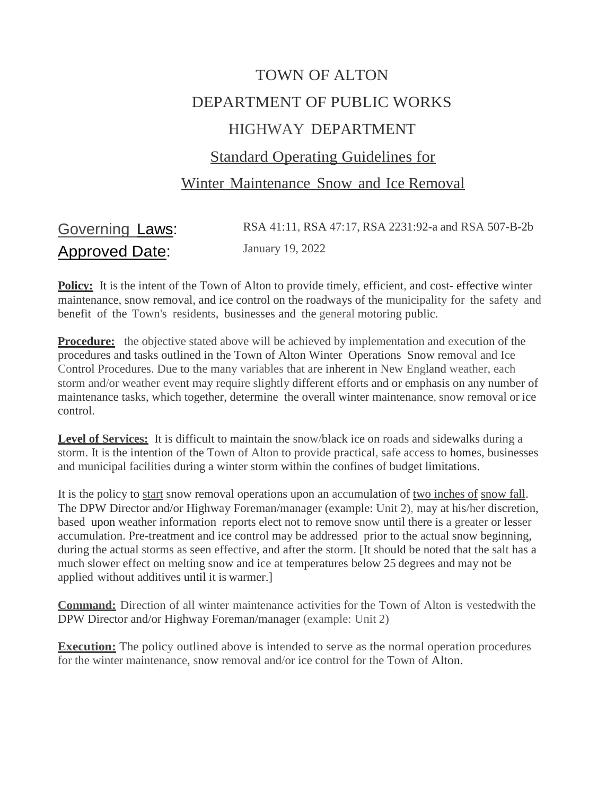# TOWN OF ALTON DEPARTMENT OF PUBLIC WORKS HIGHWAY DEPARTMENT Standard Operating Guidelines for Winter Maintenance Snow and Ice Removal

| Governing Laws:       | RSA 41:11, RSA 47:17, RSA 2231:92-a and RSA 507-B-2b |
|-----------------------|------------------------------------------------------|
| <u>Approved Date:</u> | January 19, 2022                                     |

**Policy:** It is the intent of the Town of Alton to provide timely, efficient, and cost- effective winter maintenance, snow removal, and ice control on the roadways of the municipality for the safety and benefit of the Town's residents, businesses and the general motoring public.

**Procedure:** the objective stated above will be achieved by implementation and execution of the procedures and tasks outlined in the Town of Alton Winter Operations Snow removal and Ice Control Procedures. Due to the many variables that are inherent in New England weather, each storm and/or weather event may require slightly different efforts and or emphasis on any number of maintenance tasks, which together, determine the overall winter maintenance, snow removal or ice control.

Level of Services: It is difficult to maintain the snow/black ice on roads and sidewalks during a storm. It is the intention of the Town of Alton to provide practical, safe access to homes, businesses and municipal facilities during a winter storm within the confines of budget limitations.

It is the policy to start snow removal operations upon an accumulation of two inches of snow fall. The DPW Director and/or Highway Foreman/manager (example: Unit 2), may at his/her discretion, based upon weather information reports elect not to remove snow until there is a greater or lesser accumulation. Pre-treatment and ice control may be addressed prior to the actual snow beginning, during the actual storms as seen effective, and after the storm. [It should be noted that the salt has a much slower effect on melting snow and ice at temperatures below 25 degrees and may not be applied without additives until it is warmer.]

**Command:** Direction of all winter maintenance activities for the Town of Alton is vestedwith the DPW Director and/or Highway Foreman/manager (example: Unit 2)

**Execution:** The policy outlined above is intended to serve as the normal operation procedures for the winter maintenance, snow removal and/or ice control for the Town of Alton.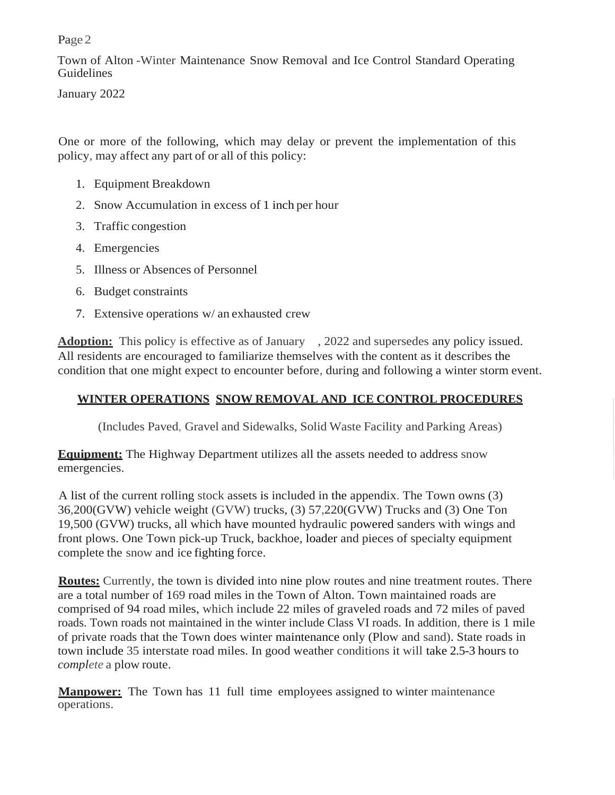Town of Alton -Winter Maintenance Snow Removal and Ice Control Standard Operating Guidelines

January 2022

One or more of the following, which may delay or prevent the implementation of this policy, may affect any part of or all of this policy:

- 1. Equipment Breakdown
- 2. Snow Accumulation in excess of 1 inch per hour
- 3. Traffic congestion
- 4. Emergencies
- 5. Illness or Absences of Personnel
- 6. Budget constraints
- 7. Extensive operations w/ an exhausted crew

Adoption: This policy is effective as of January , 2022 and supersedes any policy issued. All residents are encouraged to familiarize themselves with the content as it describes the condition that one might expect to encounter before, during and following a winter storm event.

### **WINTER OPERATIONS SNOW REMOVAL AND ICE CONTROL PROCEDURES**

(Includes Paved, Gravel and Sidewalks, Solid Waste Facility and Parking Areas)

**Equipment:** The Highway Department utilizes all the assets needed to address snow emergencies.

A list of the current rolling stock assets is included in the appendix. The Town owns (3) 36,200(GVW) vehicle weight (GVW) trucks, (3) 57,220(GVW) Trucks and (3) One Ton 19,500 (GVW) trucks, all which have mounted hydraulic powered sanders with wings and front plows. One Town pick-up Truck, backhoe, loader and pieces of specialty equipment complete the snow and ice fighting force.

**Routes:** Currently, the town is divided into nine plow routes and nine treatment routes. There are a total number of 169 road miles in the Town of Alton. Town maintained roads are comprised of 94 road miles, which include 22 miles of graveled roads and 72 miles of paved roads. Town roads not maintained in the winter include Class VI roads. In addition, there is 1 mile of private roads that the Town does winter maintenance only (Plow and sand). State roads in town include 35 interstate road miles. In good weather conditions it will take 2.5-3 hours to *complete* a plow route.

**Manpower:** The Town has 11 full time employees assigned to winter maintenance operations.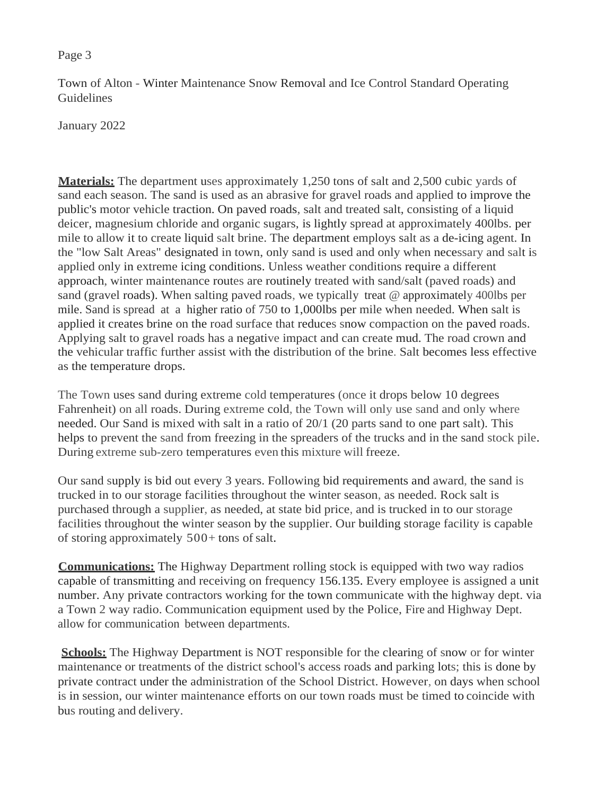Town of Alton - Winter Maintenance Snow Removal and Ice Control Standard Operating **Guidelines** 

January 2022

**Materials:** The department uses approximately 1,250 tons of salt and 2,500 cubic yards of sand each season. The sand is used as an abrasive for gravel roads and applied to improve the public's motor vehicle traction. On paved roads, salt and treated salt, consisting of a liquid deicer, magnesium chloride and organic sugars, is lightly spread at approximately 400lbs. per mile to allow it to create liquid salt brine. The department employs salt as a de-icing agent. In the "low Salt Areas" designated in town, only sand is used and only when necessary and salt is applied only in extreme icing conditions. Unless weather conditions require a different approach, winter maintenance routes are routinely treated with sand/salt (paved roads) and sand (gravel roads). When salting paved roads, we typically treat @ approximately 400lbs per mile. Sand is spread at a higher ratio of 750 to 1,000lbs per mile when needed. When salt is applied it creates brine on the road surface that reduces snow compaction on the paved roads. Applying salt to gravel roads has a negative impact and can create mud. The road crown and the vehicular traffic further assist with the distribution of the brine. Salt becomes less effective as the temperature drops.

The Town uses sand during extreme cold temperatures (once it drops below 10 degrees Fahrenheit) on all roads. During extreme cold, the Town will only use sand and only where needed. Our Sand is mixed with salt in a ratio of 20/1 (20 parts sand to one part salt). This helps to prevent the sand from freezing in the spreaders of the trucks and in the sand stock pile. During extreme sub-zero temperatures even this mixture will freeze.

Our sand supply is bid out every 3 years. Following bid requirements and award, the sand is trucked in to our storage facilities throughout the winter season, as needed. Rock salt is purchased through a supplier, as needed, at state bid price, and is trucked in to our storage facilities throughout the winter season by the supplier. Our building storage facility is capable of storing approximately  $500+$  tons of salt.

**Communications:** The Highway Department rolling stock is equipped with two way radios capable of transmitting and receiving on frequency 156.135. Every employee is assigned a unit number. Any private contractors working for the town communicate with the highway dept. via a Town 2 way radio. Communication equipment used by the Police, Fire and Highway Dept. allow for communication between departments.

**Schools:** The Highway Department is NOT responsible for the clearing of snow or for winter maintenance or treatments of the district school's access roads and parking lots; this is done by private contract under the administration of the School District. However, on days when school is in session, our winter maintenance efforts on our town roads must be timed to coincide with bus routing and delivery.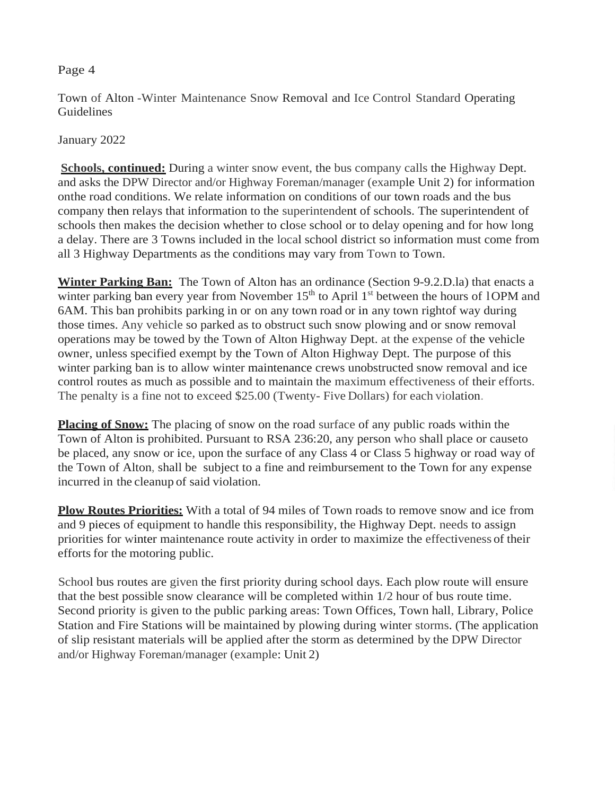Town of Alton -Winter Maintenance Snow Removal and Ice Control Standard Operating Guidelines

January 2022

**Schools, continued:** During a winter snow event, the bus company calls the Highway Dept. and asks the DPW Director and/or Highway Foreman/manager (example Unit 2) for information onthe road conditions. We relate information on conditions of our town roads and the bus company then relays that information to the superintendent of schools. The superintendent of schools then makes the decision whether to close school or to delay opening and for how long a delay. There are 3 Towns included in the local school district so information must come from all 3 Highway Departments as the conditions may vary from Town to Town.

**Winter Parking Ban:** The Town of Alton has an ordinance (Section 9-9.2.D.la) that enacts a winter parking ban every year from November  $15<sup>th</sup>$  to April  $1<sup>st</sup>$  between the hours of 1OPM and 6AM. This ban prohibits parking in or on any town road or in any town rightof way during those times. Any vehicle so parked as to obstruct such snow plowing and or snow removal operations may be towed by the Town of Alton Highway Dept. at the expense of the vehicle owner, unless specified exempt by the Town of Alton Highway Dept. The purpose of this winter parking ban is to allow winter maintenance crews unobstructed snow removal and ice control routes as much as possible and to maintain the maximum effectiveness of their efforts. The penalty is a fine not to exceed \$25.00 (Twenty- Five Dollars) for each violation.

**Placing of Snow:** The placing of snow on the road surface of any public roads within the Town of Alton is prohibited. Pursuant to RSA 236:20, any person who shall place or causeto be placed, any snow or ice, upon the surface of any Class 4 or Class 5 highway or road way of the Town of Alton, shall be subject to a fine and reimbursement to the Town for any expense incurred in the cleanup of said violation.

**Plow Routes Priorities:** With a total of 94 miles of Town roads to remove snow and ice from and 9 pieces of equipment to handle this responsibility, the Highway Dept. needs to assign priorities for winter maintenance route activity in order to maximize the effectiveness of their efforts for the motoring public.

School bus routes are given the first priority during school days. Each plow route will ensure that the best possible snow clearance will be completed within 1/2 hour of bus route time. Second priority is given to the public parking areas: Town Offices, Town hall, Library, Police Station and Fire Stations will be maintained by plowing during winter storms. (The application of slip resistant materials will be applied after the storm as determined by the DPW Director and/or Highway Foreman/manager (example: Unit 2)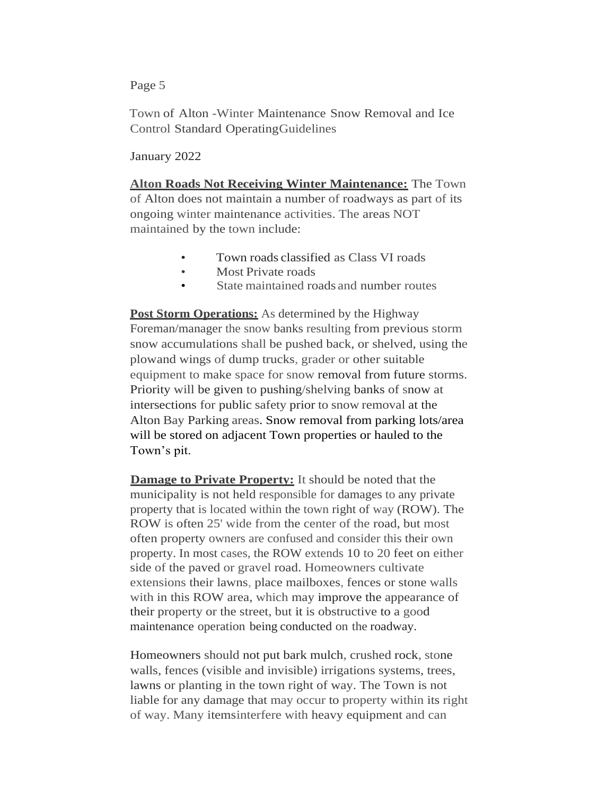Town of Alton -Winter Maintenance Snow Removal and Ice Control Standard OperatingGuidelines

January 2022

**Alton Roads Not Receiving Winter Maintenance:** The Town of Alton does not maintain a number of roadways as part of its ongoing winter maintenance activities. The areas NOT maintained by the town include:

- Town roads classified as Class VI roads
- Most Private roads
- State maintained roads and number routes

**Post Storm Operations:** As determined by the Highway Foreman/manager the snow banks resulting from previous storm snow accumulations shall be pushed back, or shelved, using the plowand wings of dump trucks, grader or other suitable equipment to make space for snow removal from future storms. Priority will be given to pushing/shelving banks of snow at intersections for public safety prior to snow removal at the Alton Bay Parking areas. Snow removal from parking lots/area will be stored on adjacent Town properties or hauled to the Town's pit.

**Damage to Private Property:** It should be noted that the municipality is not held responsible for damages to any private property that is located within the town right of way (ROW). The ROW is often 25' wide from the center of the road, but most often property owners are confused and consider this their own property. In most cases, the ROW extends 10 to 20 feet on either side of the paved or gravel road. Homeowners cultivate extensions their lawns, place mailboxes, fences or stone walls with in this ROW area, which may improve the appearance of their property or the street, but it is obstructive to a good maintenance operation being conducted on the roadway.

Homeowners should not put bark mulch, crushed rock, stone walls, fences (visible and invisible) irrigations systems, trees, lawns or planting in the town right of way. The Town is not liable for any damage that may occur to property within its right of way. Many itemsinterfere with heavy equipment and can